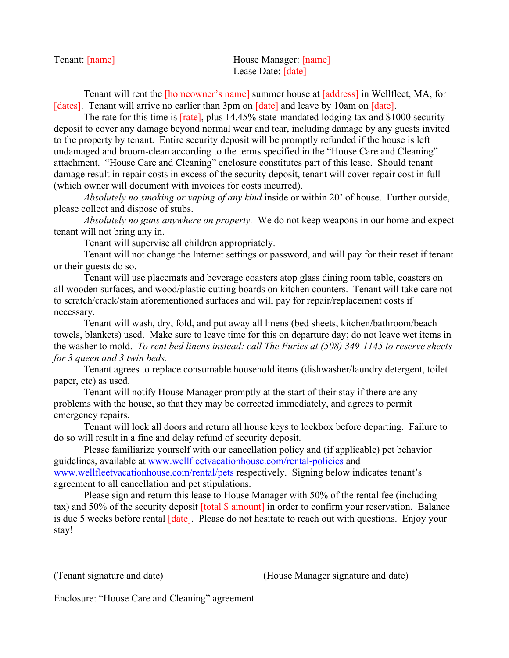| Tenant: [name] | House Manager: [name] |
|----------------|-----------------------|
|                | Lease Date: [date]    |

Tenant will rent the [homeowner's name] summer house at [address] in Wellfleet, MA, for [dates]. Tenant will arrive no earlier than 3pm on [date] and leave by 10am on [date].

The rate for this time is **[rate]**, plus 14.45% state-mandated lodging tax and \$1000 security deposit to cover any damage beyond normal wear and tear, including damage by any guests invited to the property by tenant. Entire security deposit will be promptly refunded if the house is left undamaged and broom-clean according to the terms specified in the "House Care and Cleaning" attachment. "House Care and Cleaning" enclosure constitutes part of this lease. Should tenant damage result in repair costs in excess of the security deposit, tenant will cover repair cost in full (which owner will document with invoices for costs incurred).

*Absolutely no smoking or vaping of any kind* inside or within 20' of house. Further outside, please collect and dispose of stubs.

*Absolutely no guns anywhere on property.* We do not keep weapons in our home and expect tenant will not bring any in.

Tenant will supervise all children appropriately.

Tenant will not change the Internet settings or password, and will pay for their reset if tenant or their guests do so.

Tenant will use placemats and beverage coasters atop glass dining room table, coasters on all wooden surfaces, and wood/plastic cutting boards on kitchen counters. Tenant will take care not to scratch/crack/stain aforementioned surfaces and will pay for repair/replacement costs if necessary.

Tenant will wash, dry, fold, and put away all linens (bed sheets, kitchen/bathroom/beach towels, blankets) used. Make sure to leave time for this on departure day; do not leave wet items in the washer to mold. *To rent bed linens instead: call The Furies at (508) 349-1145 to reserve sheets for 3 queen and 3 twin beds.*

Tenant agrees to replace consumable household items (dishwasher/laundry detergent, toilet paper, etc) as used.

Tenant will notify House Manager promptly at the start of their stay if there are any problems with the house, so that they may be corrected immediately, and agrees to permit emergency repairs.

Tenant will lock all doors and return all house keys to lockbox before departing. Failure to do so will result in a fine and delay refund of security deposit.

Please familiarize yourself with our cancellation policy and (if applicable) pet behavior guidelines, available at www.wellfleetvacationhouse.com/rental-policies and www.wellfleetvacationhouse.com/rental/pets respectively. Signing below indicates tenant's agreement to all cancellation and pet stipulations.

Please sign and return this lease to House Manager with 50% of the rental fee (including tax) and 50% of the security deposit [total \$ amount] in order to confirm your reservation. Balance is due 5 weeks before rental [date]. Please do not hesitate to reach out with questions. Enjoy your stay!

(Tenant signature and date) (House Manager signature and date)

Enclosure: "House Care and Cleaning" agreement